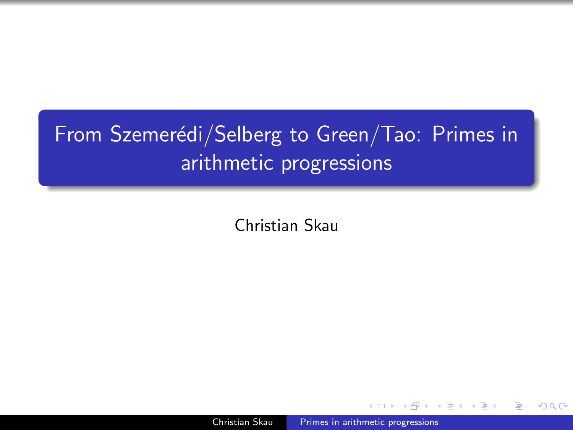# From Szemerédi/Selberg to Green/Tao: Primes in arithmetic progressions

Christian Skau

<span id="page-0-0"></span>Christian Skau [Primes in arithmetic progressions](#page-44-0)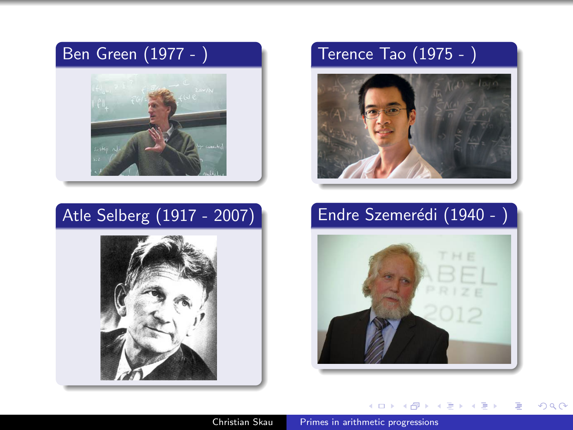## Ben Green (1977 - )



## Atle Selberg (1917 - 2007)



## Terence Tao (1975 - )



# Endre Szemerédi (1940 -



4 0 8

メタトメ ミトメ ミト

目

 $2Q$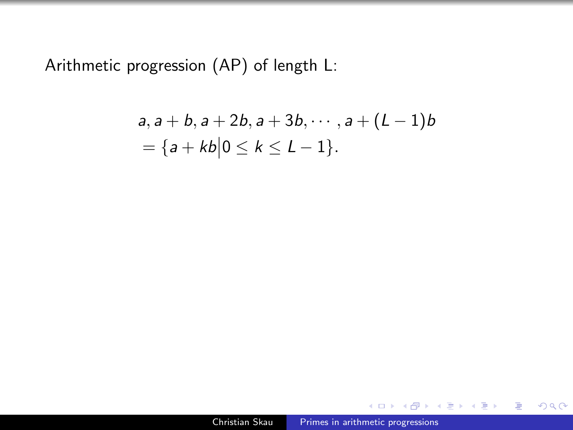Arithmetic progression (AP) of length L:

$$
a, a + b, a + 2b, a + 3b, \cdots, a + (L-1)b
$$
  
= { $a + kb$ | $0 \le k \le L - 1$  }.

 $\Box$ 

4 重

**State** 

 $\sim$ 

÷.  $\rightarrow$ э  $299$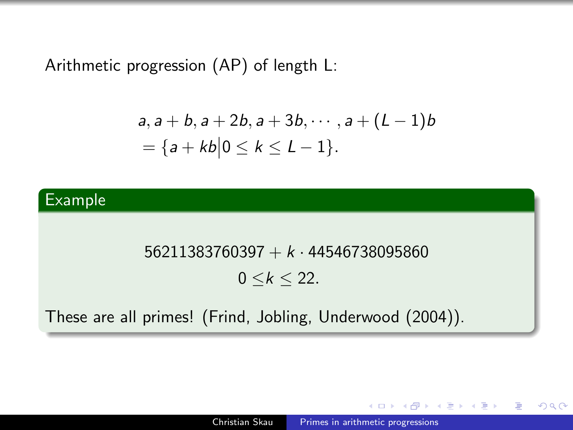Arithmetic progression (AP) of length L:

$$
a, a+b, a+2b, a+3b, \cdots, a+(L-1)b
$$
  
=  $\{a+kb|0 \le k \le L-1\}.$ 

### Example

### $56211383760397 + k \cdot 44546738095860$

## $0 \le k \le 22$ .

These are all primes! (Frind, Jobling, Underwood (2004)).

同 ▶ ( 三 ) ( 三 ) 。

э

 $200$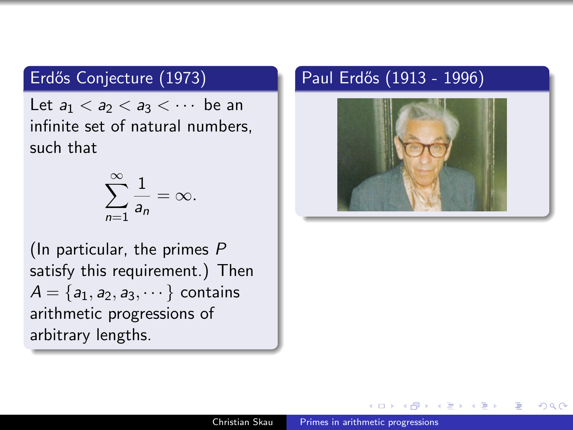## Erdős Conjecture (1973)

Let  $a_1 < a_2 < a_3 < \cdots$  be an infinite set of natural numbers, such that

$$
\sum_{n=1}^{\infty} \frac{1}{a_n} = \infty.
$$

(In particular, the primes P satisfy this requirement.) Then  $A = \{a_1, a_2, a_3, \dots\}$  contains arithmetic progressions of arbitrary lengths.

## Paul Erdős (1913 - 1996)



つくへ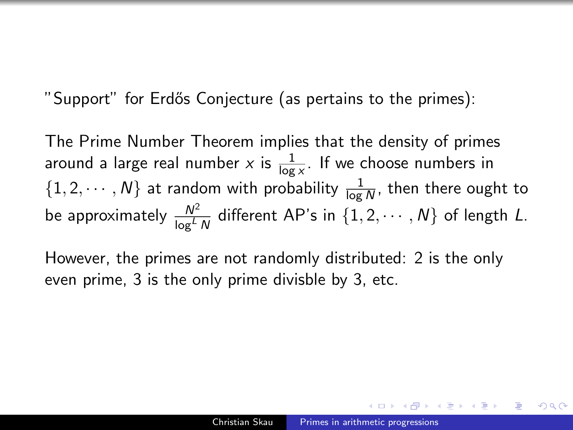"Support" for Erdős Conjecture (as pertains to the primes):

The Prime Number Theorem implies that the density of primes around a large real number  $x$  is  $\frac{1}{\log x}$ . If we choose numbers in  $\{1, 2, \cdots, N\}$  at random with probability  $\frac{1}{\log N}$ , then there ought to be approximately  $\frac{N^2}{\log^L N}$  different AP's in  $\{1, 2, \cdots, N\}$  of length  $L.$ 

However, the primes are not randomly distributed: 2 is the only even prime, 3 is the only prime divisble by 3, etc.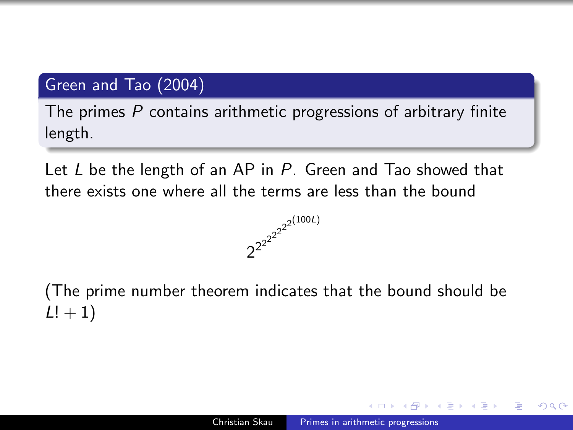### Green and Tao (2004)

The primes  $P$  contains arithmetic progressions of arbitrary finite length.

Let  $L$  be the length of an AP in  $P$ . Green and Tao showed that there exists one where all the terms are less than the bound



(The prime number theorem indicates that the bound should be  $L! + 1$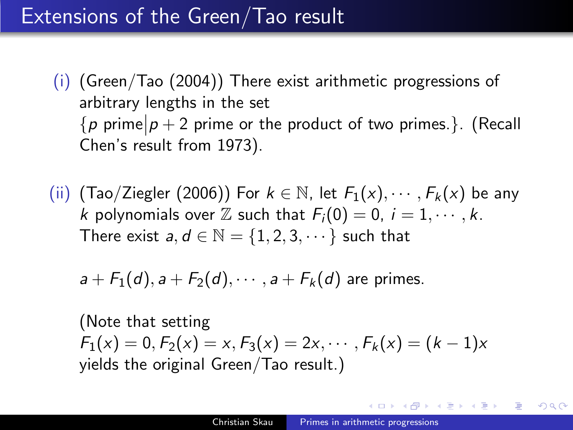# Extensions of the Green/Tao result

- (i) (Green/Tao (2004)) There exist arithmetic progressions of arbitrary lengths in the set  ${p \text{ prime} | p + 2 \text{ prime or the product of two primes.}. }$  (Recall Chen's result from 1973).
- (ii) (Tao/Ziegler (2006)) For  $k \in \mathbb{N}$ , let  $F_1(x), \cdots, F_k(x)$  be any k polynomials over  $\mathbb Z$  such that  $F_i(0) = 0$ ,  $i = 1, \dots, k$ . There exist  $a, d \in \mathbb{N} = \{1, 2, 3, \dots\}$  such that

$$
a + F_1(d), a + F_2(d), \cdots, a + F_k(d)
$$
 are primes.

(Note that setting  $F_1(x) = 0, F_2(x) = x, F_3(x) = 2x, \cdots, F_k(x) = (k-1)x$ yields the original Green/Tao result.)

何 ▶ ( ヨ ) ( ヨ )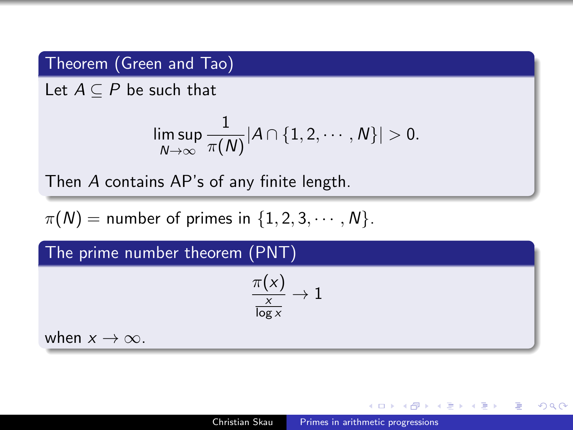## Theorem (Green and Tao)

Let  $A \subseteq P$  be such that

$$
\limsup_{N\to\infty}\frac{1}{\pi(N)}|A\cap\{1,2,\cdots,N\}|>0.
$$

Then A contains AP's of any finite length.

 $\pi(N)$  = number of primes in  $\{1, 2, 3, \cdots, N\}$ .

The prime number theorem (PNT)

$$
\frac{\pi(\mathsf{x})}{\frac{\mathsf{x}}{\log{\mathsf{x}}}}\to 1
$$

when  $x \to \infty$ .

- 4 重 8 - 4 重 8

 $200$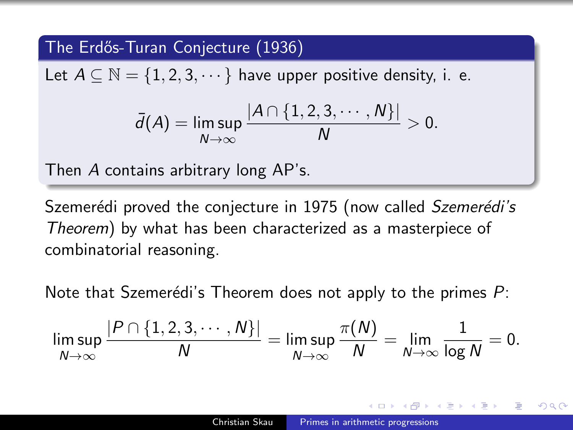### The Erd˝os-Turan Conjecture (1936)

Let  $A \subseteq \mathbb{N} = \{1, 2, 3, \dots\}$  have upper positive density, i. e.

$$
\bar{d}(A) = \limsup_{N \to \infty} \frac{|A \cap \{1, 2, 3, \cdots, N\}|}{N} > 0.
$$

Then A contains arbitrary long AP's.

Szemerédi proved the conjecture in 1975 (now called Szemerédi's Theorem) by what has been characterized as a masterpiece of combinatorial reasoning.

Note that Szemerédi's Theorem does not apply to the primes  $P$ :

$$
\limsup_{N\to\infty}\frac{|P\cap\{1,2,3,\cdots,N\}|}{N}=\limsup_{N\to\infty}\frac{\pi(N)}{N}=\lim_{N\to\infty}\frac{1}{\log N}=0.
$$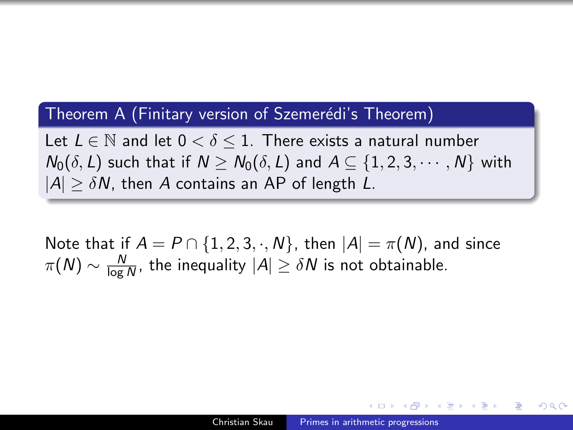#### Theorem A (Finitary version of Szemerédi's Theorem)

Let  $L \in \mathbb{N}$  and let  $0 < \delta \leq 1$ . There exists a natural number  $N_0(\delta, L)$  such that if  $N \ge N_0(\delta, L)$  and  $A \subseteq \{1, 2, 3, \cdots, N\}$  with  $|A| \geq \delta N$ , then A contains an AP of length L.

Note that if  $A = P \cap \{1, 2, 3, \cdot, N\}$ , then  $|A| = \pi(N)$ , and since  $\pi(N) \sim \frac{N}{\log N}$  $\frac{N}{\log N}$ , the inequality  $|A| \geq \delta N$  is not obtainable.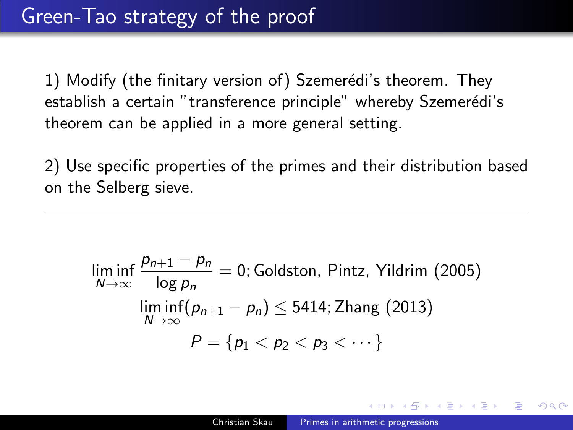1) Modify (the finitary version of) Szemerédi's theorem. They establish a certain "transference principle" whereby Szemerédi's theorem can be applied in a more general setting.

2) Use specific properties of the primes and their distribution based on the Selberg sieve.

$$
\liminf_{N \to \infty} \frac{p_{n+1} - p_n}{\log p_n} = 0; \text{Goldston, Pintz, Yildrim (2005)}
$$
\n
$$
\liminf_{N \to \infty} (p_{n+1} - p_n) \le 5414; \text{ Zhang (2013)}
$$
\n
$$
P = \{p_1 < p_2 < p_3 < \dots \}
$$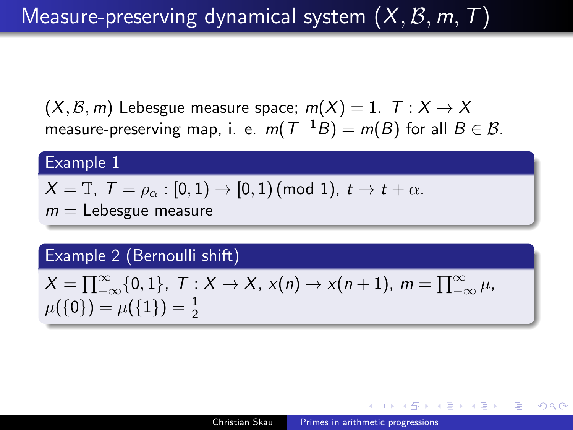# Measure-preserving dynamical system  $(X, \mathcal{B}, m, T)$

 $(X, \mathcal{B}, m)$  Lebesgue measure space;  $m(X) = 1$ .  $T : X \to X$ measure-preserving map, i. e.  $m(\mathcal{T}^{-1}B)=m(B)$  for all  $B\in\mathcal{B}.$ 

### Example 1

$$
X=\mathbb{T},\,\, \mathcal{T}=\rho_{\alpha}:[0,1)\rightarrow[0,1)\,(\text{mod 1}),\,\, t\rightarrow t+\alpha.
$$

 $m =$  Lebesgue measure

## Example 2 (Bernoulli shift)

$$
X = \prod_{-\infty}^{\infty} \{0, 1\}, \ T : X \to X, \ x(n) \to x(n+1), \ m = \prod_{-\infty}^{\infty} \mu, \ \mu(\{0\}) = \mu(\{1\}) = \frac{1}{2}
$$

- 4 国 8 14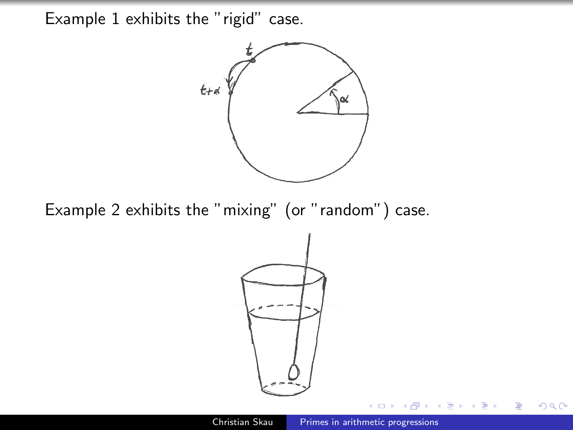Example 1 exhibits the "rigid" case.



Example 2 exhibits the "mixing" (or "random") case.



 $2Q$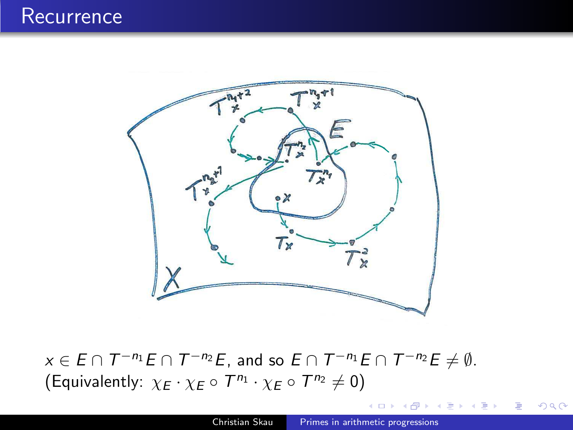

 $x \in E \cap T^{-n_1}E \cap T^{-n_2}E$ , and so  $E \cap T^{-n_1}E \cap T^{-n_2}E \neq \emptyset$ . (Equivalently:  $\chi_E \cdot \chi_E \circ T^{n_1} \cdot \chi_E \circ T^{n_2} \neq 0$ )

 $2Q$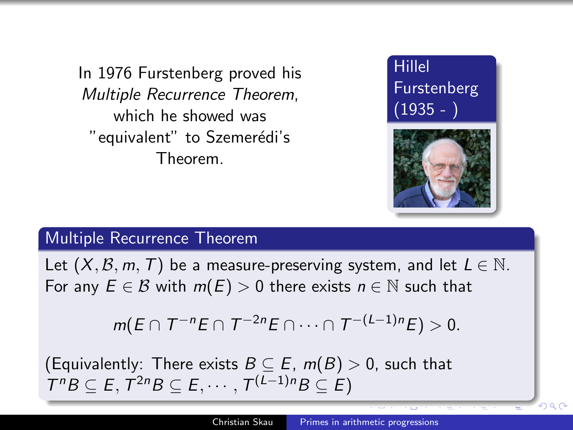In 1976 Furstenberg proved his Multiple Recurrence Theorem, which he showed was " equivalent" to Szemerédi's Theorem.





 $2990$ 

### Multiple Recurrence Theorem

Let  $(X, \mathcal{B}, m, T)$  be a measure-preserving system, and let  $L \in \mathbb{N}$ . For any  $E \in \mathcal{B}$  with  $m(E) > 0$  there exists  $n \in \mathbb{N}$  such that

$$
m(E \cap T^{-n}E \cap T^{-2n}E \cap \cdots \cap T^{-(L-1)n}E) > 0.
$$

(Equivalently: There exists  $B \subseteq E$ ,  $m(B) > 0$ , such that  $T^nB \subseteq E, T^{2n}B \subseteq E, \cdots, T^{(L-1)n}B \subseteq E$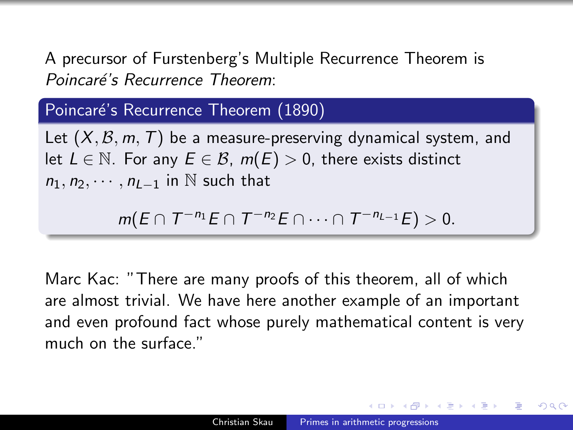A precursor of Furstenberg's Multiple Recurrence Theorem is Poincaré's Recurrence Theorem:

## Poincaré's Recurrence Theorem (1890)

Let  $(X, \mathcal{B}, m, T)$  be a measure-preserving dynamical system, and let  $L \in \mathbb{N}$ . For any  $E \in \mathcal{B}$ ,  $m(E) > 0$ , there exists distinct  $n_1, n_2, \cdots, n_{L-1}$  in N such that

$$
m(E \cap T^{-n_1}E \cap T^{-n_2}E \cap \cdots \cap T^{-n_{L-1}}E) > 0.
$$

Marc Kac: "There are many proofs of this theorem, all of which are almost trivial. We have here another example of an important and even profound fact whose purely mathematical content is very much on the surface."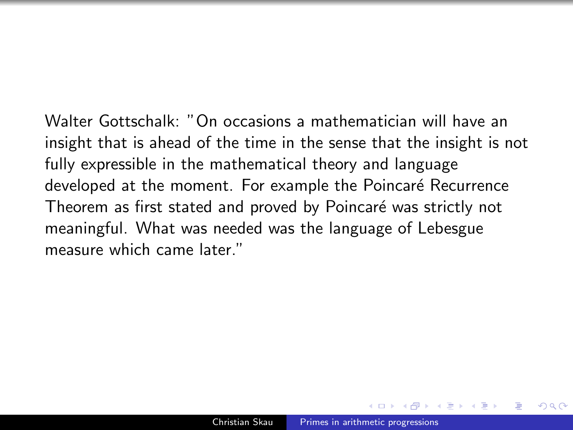Walter Gottschalk: "On occasions a mathematician will have an insight that is ahead of the time in the sense that the insight is not fully expressible in the mathematical theory and language developed at the moment. For example the Poincaré Recurrence Theorem as first stated and proved by Poincaré was strictly not meaningful. What was needed was the language of Lebesgue measure which came later."

 $\Omega$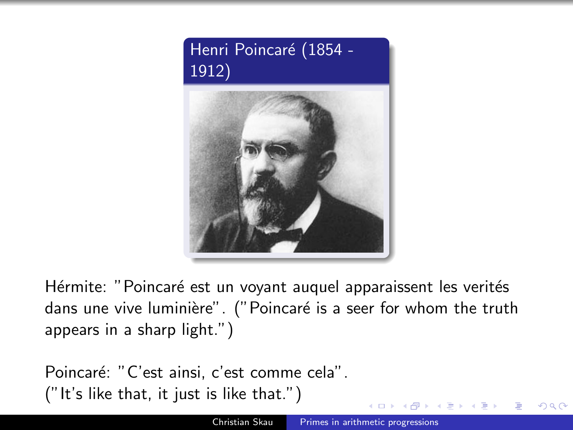

Hérmite: "Poincaré est un voyant auquel apparaissent les verités dans une vive luminière". ("Poincaré is a seer for whom the truth appears in a sharp light.")

Poincaré: "C'est ainsi, c'est comme cela". ("It's like that, it just is like that.")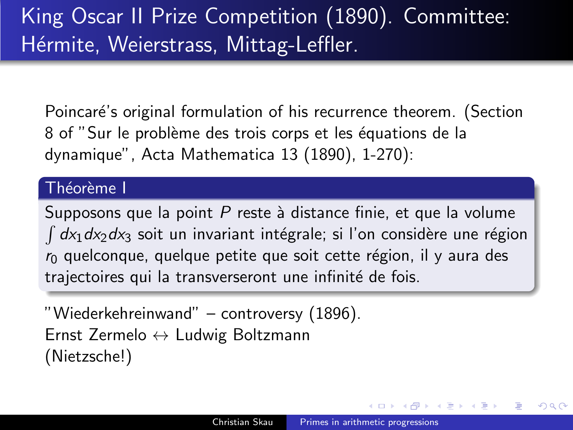Poincaré's original formulation of his recurrence theorem. (Section 8 of "Sur le problème des trois corps et les équations de la dynamique", Acta Mathematica 13 (1890), 1-270):

### Théorème I

Supposons que la point  $P$  reste à distance finie, et que la volume  $\int dx_1 dx_2 dx_3$  soit un invariant intégrale; si l'on considère une région  $r<sub>0</sub>$  quelconque, quelque petite que soit cette région, il y aura des trajectoires qui la transverseront une infinité de fois.

"Wiederkehreinwand" – controversy (1896). Ernst Zermelo ↔ Ludwig Boltzmann (Nietzsche!)

つくへ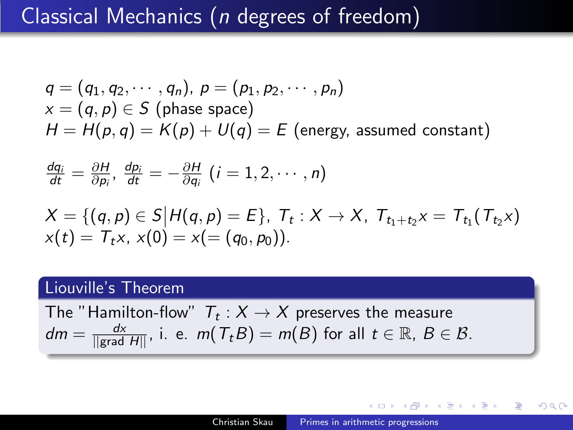# Classical Mechanics (n degrees of freedom)

$$
q = (q_1, q_2, \cdots, q_n), p = (p_1, p_2, \cdots, p_n)
$$
  

$$
x = (q, p) \in S \text{ (phase space)}
$$
  

$$
H = H(p, q) = K(p) + U(q) = E \text{ (energy, assumed constant)}
$$

$$
\frac{dq_i}{dt} = \frac{\partial H}{\partial p_i}, \frac{dp_i}{dt} = -\frac{\partial H}{\partial q_i} (i = 1, 2, \cdots, n)
$$

$$
X = \{(q, p) \in S | H(q, p) = E\}, T_t : X \to X, T_{t_1 + t_2}x = T_{t_1}(T_{t_2}x) x(t) = T_t x, x(0) = x(=(q_0, p_0)).
$$

### Liouville's Theorem

The "Hamilton-flow"  $\mathcal{T}_t:X\to X$  preserves the measure  $dm=\frac{dx}{\| {\rm grad} \; H \|},$  i. e.  $m( \, T_t B)=m(B)$  for all  $t\in \mathbb{R}, \; B\in \mathcal{B}.$ 

 $200$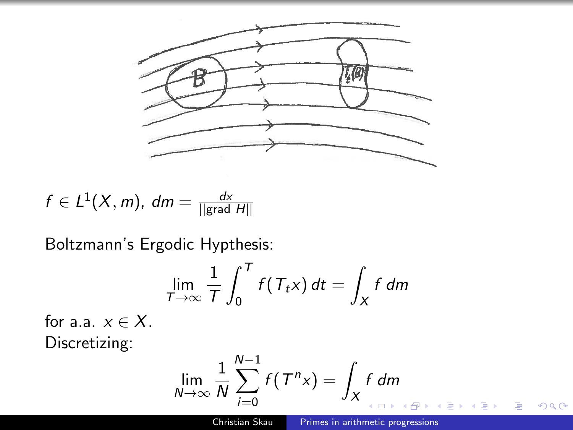

$$
f\in L^1(X,m), \ dm=\tfrac{dx}{\|{\rm grad}\ H\|}
$$

Boltzmann's Ergodic Hypthesis:

$$
\lim_{T \to \infty} \frac{1}{T} \int_0^T f(T_t x) dt = \int_X f dm
$$

for a.a.  $x \in X$ . Discretizing:

$$
\lim_{N\to\infty}\frac{1}{N}\sum_{i=0}^{N-1}f(T^nx)=\int_Xf\,dm
$$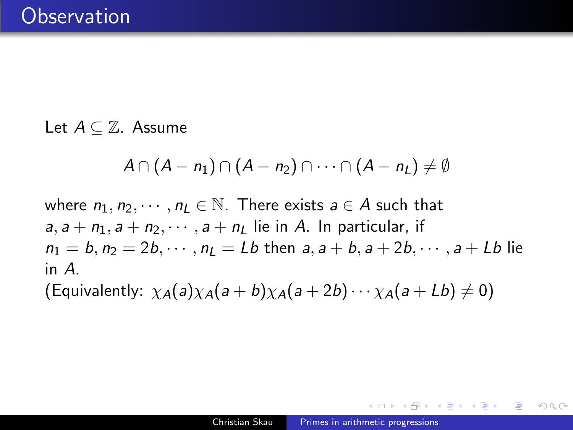Let  $A \subset \mathbb{Z}$ . Assume

$$
A\cap (A-n_1)\cap (A-n_2)\cap \cdots \cap (A-n_L)\neq \emptyset
$$

where  $n_1, n_2, \dots, n_l \in \mathbb{N}$ . There exists  $a \in A$  such that  $a, a + n_1, a + n_2, \dots, a + n_l$  lie in A. In particular, if  $n_1 = b, n_2 = 2b, \dots, n_l = Lb$  then  $a, a + b, a + 2b, \dots, a + Lb$  lie in A.

(Equivalently:  $\chi_A(a)\chi_A(a+b)\chi_A(a+2b)\cdots\chi_A(a+Lb)\neq 0$ )

つくへ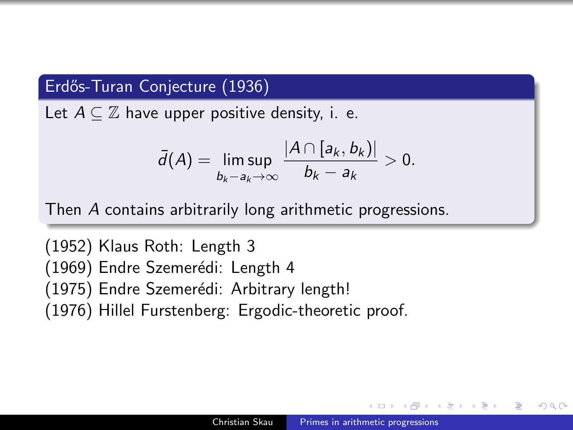## Erdős-Turan Conjecture (1936)

Let  $A \subset \mathbb{Z}$  have upper positive density, i. e.

$$
\bar{d}(A) = \limsup_{b_k - a_k \to \infty} \frac{|A \cap [a_k, b_k)|}{b_k - a_k} > 0.
$$

Then A contains arbitrarily long arithmetic progressions.

(1952) Klaus Roth: Length 3 (1969) Endre Szemerédi: Length 4 (1975) Endre Szemerédi: Arbitrary length! (1976) Hillel Furstenberg: Ergodic-theoretic proof.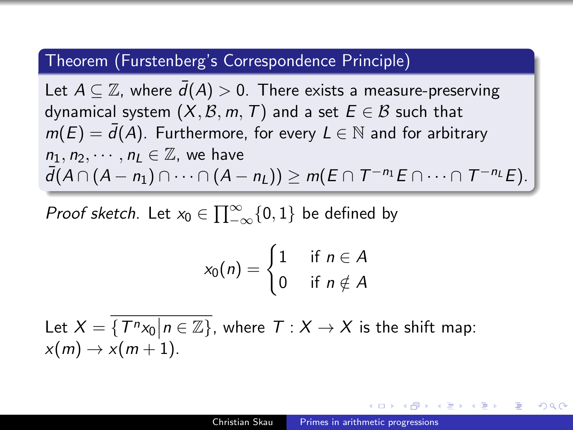#### Theorem (Furstenberg's Correspondence Principle)

Let  $A \subseteq \mathbb{Z}$ , where  $\overline{d}(A) > 0$ . There exists a measure-preserving dynamical system  $(X, \mathcal{B}, m, T)$  and a set  $E \in \mathcal{B}$  such that  $m(E) = \bar{d}(A)$ . Furthermore, for every  $L \in \mathbb{N}$  and for arbitrary  $n_1, n_2, \cdots, n_l \in \mathbb{Z}$ , we have  $\bar{d}(A \cap (A - n_1) \cap \cdots \cap (A - n_L)) \geq m(E \cap T^{-n_1}E \cap \cdots \cap T^{-n_L}E).$ 

Proof sketch. Let  $x_0 \in \prod_{-\infty}^{\infty} \{0,1\}$  be defined by

$$
x_0(n) = \begin{cases} 1 & \text{if } n \in A \\ 0 & \text{if } n \notin A \end{cases}
$$

Let  $X = \{T^n x_0 | n \in \mathbb{Z}\}$ , where  $T : X \to X$  is the shift map:  $x(m) \rightarrow x(m+1)$ .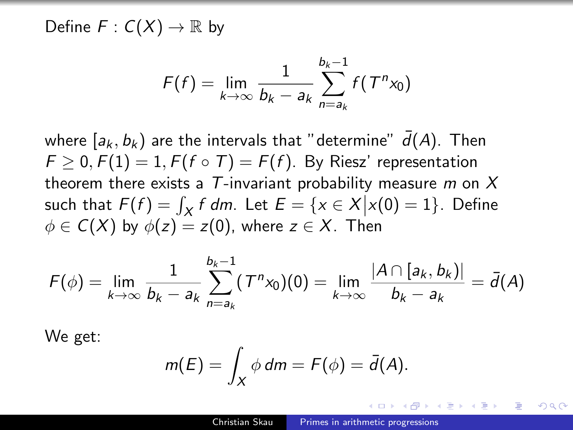Define  $F: C(X) \to \mathbb{R}$  by

$$
F(f) = \lim_{k \to \infty} \frac{1}{b_k - a_k} \sum_{n = a_k}^{b_k - 1} f(T^n x_0)
$$

where  $[a_k, b_k)$  are the intervals that "determine"  $\bar{d}(A)$ . Then  $F > 0$ ,  $F(1) = 1$ ,  $F(f \circ T) = F(f)$ . By Riesz' representation theorem there exists a  $T$ -invariant probability measure m on  $X$ such that  $F(f) = \int_X f dm$ . Let  $E = \{x \in X | x(0) = 1\}$ . Define  $\phi \in C(X)$  by  $\phi(z) = z(0)$ , where  $z \in X$ . Then

$$
F(\phi) = \lim_{k \to \infty} \frac{1}{b_k - a_k} \sum_{n = a_k}^{b_k - 1} (T^n x_0)(0) = \lim_{k \to \infty} \frac{|A \cap [a_k, b_k)|}{b_k - a_k} = \bar{d}(A)
$$

We get:

$$
m(E)=\int_X \phi dm=F(\phi)=\bar{d}(A).
$$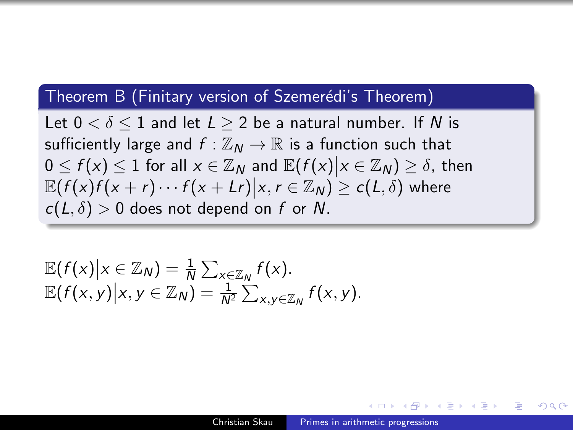### Theorem B (Finitary version of Szemerédi's Theorem)

Let  $0 < \delta < 1$  and let  $L > 2$  be a natural number. If N is sufficiently large and  $f : \mathbb{Z}_N \to \mathbb{R}$  is a function such that  $0 \le f(x) \le 1$  for all  $x \in \mathbb{Z}_N$  and  $\mathbb{E}(f(x)|x \in \mathbb{Z}_N) \ge \delta$ , then  $\mathbb{E}(f(x)f(x+r)\cdots f(x+Lr)|x, r\in\mathbb{Z}_N)\geq c(L,\delta)$  where  $c(L, \delta) > 0$  does not depend on f or N.

$$
\mathbb{E}(f(x)|x \in \mathbb{Z}_N) = \frac{1}{N} \sum_{x \in \mathbb{Z}_N} f(x).
$$
  

$$
\mathbb{E}(f(x,y)|x,y \in \mathbb{Z}_N) = \frac{1}{N^2} \sum_{x,y \in \mathbb{Z}_N} f(x,y).
$$

ഹൈ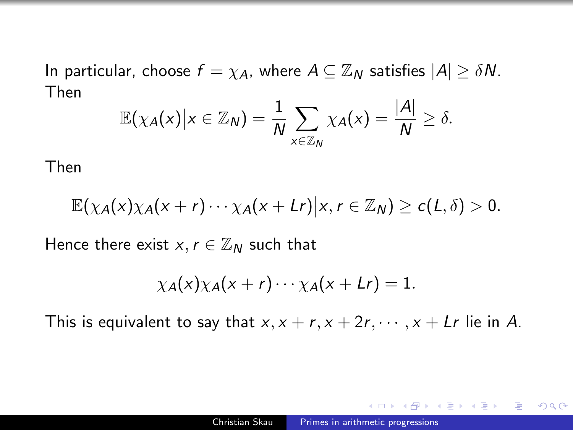In particular, choose  $f = \chi_A$ , where  $A \subseteq \mathbb{Z}_N$  satisfies  $|A| \geq \delta N$ . Then

$$
\mathbb{E}(\chi_A(x)|x\in\mathbb{Z}_N)=\frac{1}{N}\sum_{x\in\mathbb{Z}_N}\chi_A(x)=\frac{|A|}{N}\geq\delta.
$$

Then

$$
\mathbb{E}(\chi_A(x)\chi_A(x+r)\cdots\chi_A(x+Lr)|x,r\in\mathbb{Z}_N)\geq c(L,\delta)>0.
$$

Hence there exist  $x, r \in \mathbb{Z}_N$  such that

$$
\chi_A(x)\chi_A(x+r)\cdots\chi_A(x+Cr)=1.
$$

This is equivalent to say that  $x, x + r, x + 2r, \dots, x + Lr$  lie in A.

つくへ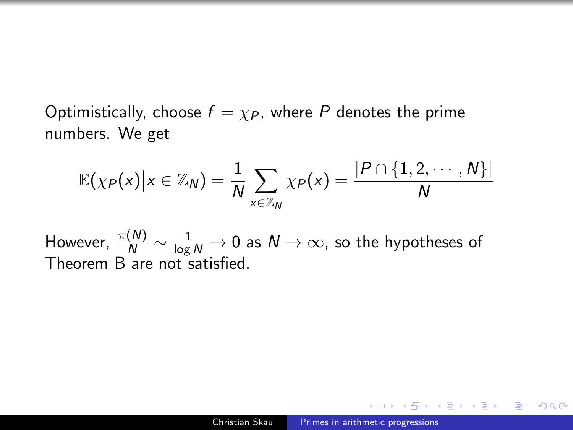Optimistically, choose  $f = \chi_P$ , where P denotes the prime numbers. We get

$$
\mathbb{E}(\chi_P(x)|x\in\mathbb{Z}_N)=\frac{1}{N}\sum_{x\in\mathbb{Z}_N}\chi_P(x)=\frac{|P\cap\{1,2,\cdots,N\}|}{N}
$$

However,  $\frac{\pi(N)}{N}\sim \frac{1}{\log N}\to 0$  as  $N\to \infty$ , so the hypotheses of Theorem B are not satisfied.

 $QQ$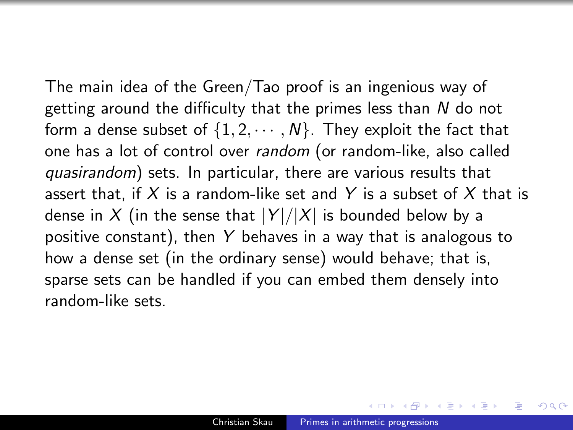The main idea of the Green/Tao proof is an ingenious way of getting around the difficulty that the primes less than N do not form a dense subset of  $\{1, 2, \cdots, N\}$ . They exploit the fact that one has a lot of control over random (or random-like, also called quasirandom) sets. In particular, there are various results that assert that, if X is a random-like set and Y is a subset of X that is dense in X (in the sense that  $|Y|/|X|$  is bounded below by a positive constant), then  $Y$  behaves in a way that is analogous to how a dense set (in the ordinary sense) would behave; that is, sparse sets can be handled if you can embed them densely into random-like sets.

 $\Omega$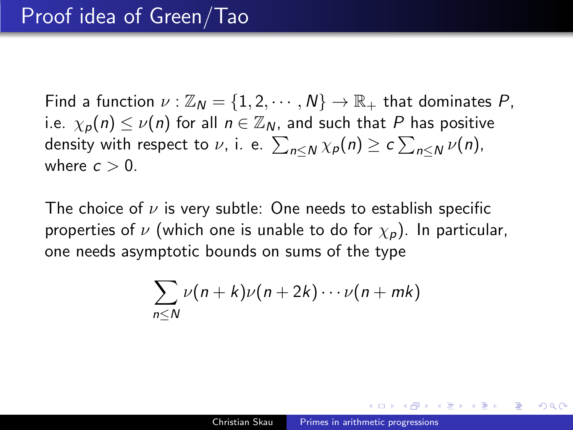Find a function  $\nu : \mathbb{Z}_N = \{1, 2, \cdots, N\} \rightarrow \mathbb{R}_+$  that dominates P, i.e.  $\chi_p(n) \leq \nu(n)$  for all  $n \in \mathbb{Z}_N$ , and such that P has positive density with respect to  $\nu$ , i. e.  $\sum_{n\leq N}\chi_{\bm p}(n)\geq c\sum_{n\leq N}\nu(n),$ where  $c > 0$ .

The choice of  $\nu$  is very subtle: One needs to establish specific properties of  $\nu$  (which one is unable to do for  $\chi_p$ ). In particular, one needs asymptotic bounds on sums of the type

$$
\sum_{n\leq N}\nu(n+k)\nu(n+2k)\cdots\nu(n+mk)
$$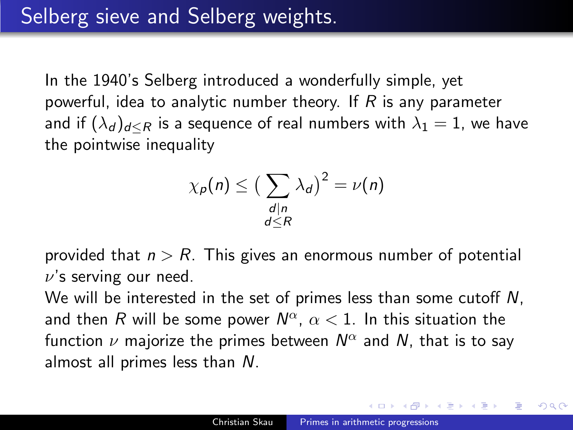In the 1940's Selberg introduced a wonderfully simple, yet powerful, idea to analytic number theory. If R is any parameter and if  $(\lambda_d)_{d \leq R}$  is a sequence of real numbers with  $\lambda_1 = 1$ , we have the pointwise inequality

$$
\chi_p(n) \leq \big(\sum_{\substack{d|n\\d\leq R}} \lambda_d\big)^2 = \nu(n)
$$

provided that  $n > R$ . This gives an enormous number of potential  $\nu$ 's serving our need.

We will be interested in the set of primes less than some cutoff N, and then  $R$  will be some power  $\mathsf{N}^\alpha$ ,  $\alpha < 1$ . In this situation the function  $\nu$  majorize the primes between  $\mathsf{N}^\alpha$  and  $\mathsf{N}_\cdot$  that is to say almost all primes less than N.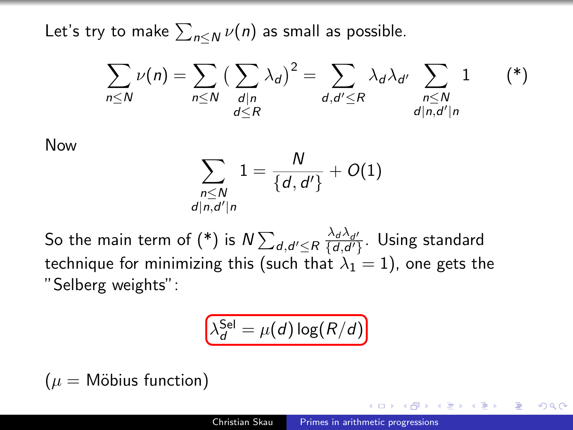Let's try to make  $\sum_{n\leq N}\nu(n)$  as small as possible.

 $\overline{a}$ 

<span id="page-32-0"></span>
$$
\sum_{n\leq N}\nu(n)=\sum_{n\leq N}\big(\sum_{\substack{d|n\\d\leq R}}\lambda_d\big)^2=\sum_{\substack{d,d'\leq R\\d|n,d'|n}}\lambda_d\lambda_{d'}\sum_{\substack{n\leq N\\d|n,d'|n}}1\qquad (*)
$$

Now

$$
\sum_{\substack{n \leq N \\ |n,d'|n}} 1 = \frac{N}{\{d,d'\}} + O(1)
$$

So the main term of [\(\\*\)](#page-32-0) is  $N\sum_{d,d'\leq R}\frac{\lambda_d\lambda_{d'}}{\{d,d'\}}.$  Using standard technique for minimizing this (such that  $\lambda_1 = 1$ ), one gets the "Selberg weights":

$$
\lambda_d^{\sf Sel} = \mu(d) \log(R/d)
$$

 $(\mu =$  Möbius function)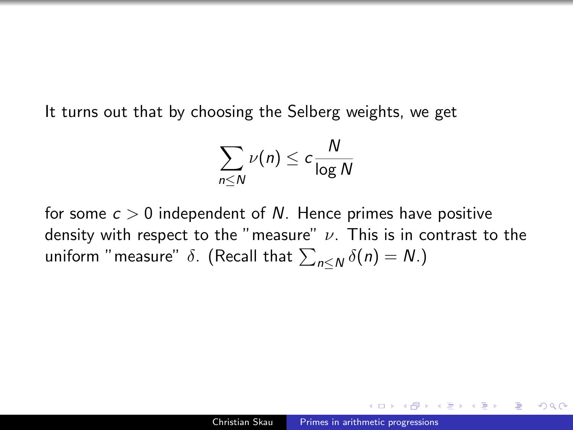It turns out that by choosing the Selberg weights, we get

$$
\sum_{n\leq N}\nu(n)\leq c\frac{N}{\log N}
$$

for some  $c > 0$  independent of N. Hence primes have positive density with respect to the "measure"  $\nu$ . This is in contrast to the uniform "measure"  $\delta.$  (Recall that  $\sum_{n\leq N}\delta(n)=N.$ )

ഹൈ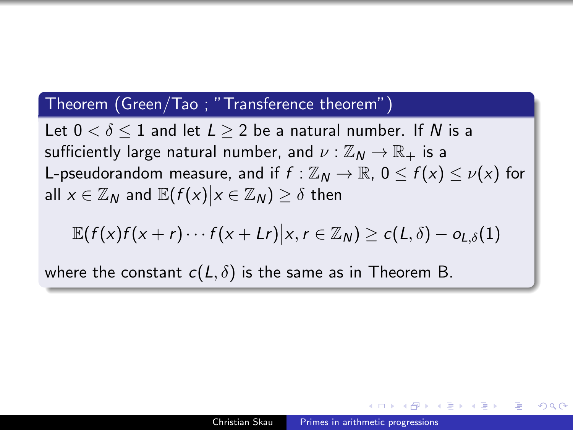#### Theorem (Green/Tao ; "Transference theorem")

Let  $0 < \delta < 1$  and let  $L > 2$  be a natural number. If N is a sufficiently large natural number, and  $\nu : \mathbb{Z}_N \to \mathbb{R}_+$  is a L-pseudorandom measure, and if  $f : \mathbb{Z}_N \to \mathbb{R}$ ,  $0 \le f(x) \le \nu(x)$  for all  $x \in \mathbb{Z}_N$  and  $\mathbb{E}(f(x)|x \in \mathbb{Z}_N) \geq \delta$  then

$$
\mathbb{E}(f(x)f(x+r)\cdots f(x+Lr)|x,r\in\mathbb{Z}_N)\geq c(L,\delta)-o_{L,\delta}(1)
$$

where the constant  $c(L, \delta)$  is the same as in Theorem B.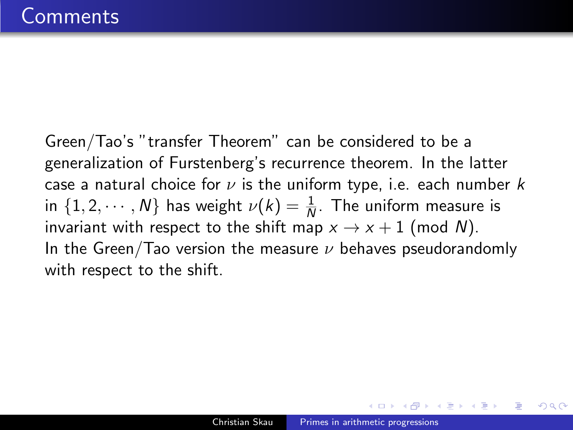Green/Tao's "transfer Theorem" can be considered to be a generalization of Furstenberg's recurrence theorem. In the latter case a natural choice for  $\nu$  is the uniform type, i.e. each number k in  $\{1,2,\cdots,N\}$  has weight  $\nu(k)=\frac{1}{N}$ . The uniform measure is invariant with respect to the shift map  $x \to x + 1$  (mod N). In the Green/Tao version the measure  $\nu$  behaves pseudorandomly with respect to the shift.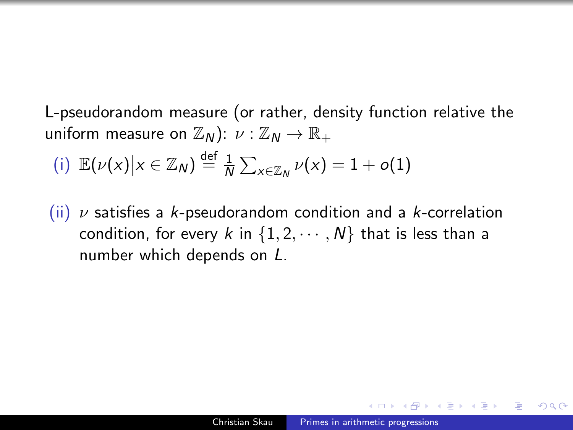L-pseudorandom measure (or rather, density function relative the uniform measure on  $\mathbb{Z}_N$ ):  $\nu : \mathbb{Z}_N \to \mathbb{R}_+$ 

(i) 
$$
\mathbb{E}(\nu(x)|x \in \mathbb{Z}_N) \stackrel{\text{def}}{=} \frac{1}{N} \sum_{x \in \mathbb{Z}_N} \nu(x) = 1 + o(1)
$$

(ii)  $\nu$  satisfies a k-pseudorandom condition and a k-correlation condition, for every k in  $\{1, 2, \cdots, N\}$  that is less than a number which depends on L.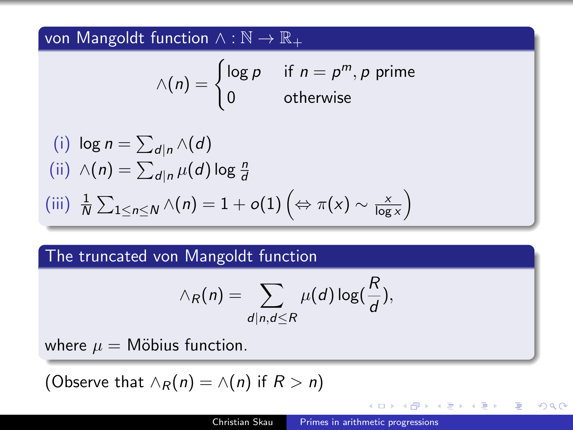von Mangoldt function  $\wedge : \mathbb{N} \to \mathbb{R}_+$ 

$$
\wedge (n) = \begin{cases} \log p & \text{if } n = p^m, p \text{ prime} \\ 0 & \text{otherwise} \end{cases}
$$

(i) 
$$
\log n = \sum_{d|n} \wedge (d)
$$
  
\n(ii)  $\wedge (n) = \sum_{d|n} \mu(d) \log \frac{n}{d}$   
\n(iii)  $\frac{1}{N} \sum_{1 \le n \le N} \wedge (n) = 1 + o(1) \left( \Leftrightarrow \pi(x) \sim \frac{x}{\log x} \right)$ 

## The truncated von Mangoldt function

$$
\wedge_R(n) = \sum_{d|n, d \leq R} \mu(d) \log(\frac{R}{d}),
$$

where  $\mu =$  Möbius function.

(Observe that  $\land_R(n) = \land(n)$  if  $R > n$ )

 $200$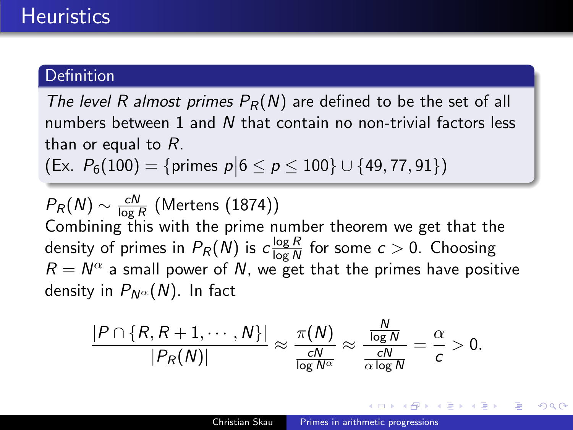### **Definition**

The level R almost primes  $P_R(N)$  are defined to be the set of all numbers between 1 and N that contain no non-trivial factors less than or equal to R.

 $(Ex. P<sub>6</sub>(100) = {primes p | 6 \le p \le 100} \cup {49, 77, 91})$ 

 $P_R(N) \sim \frac{cN}{\log n}$  $\frac{\mathsf{\scriptstyle CIV}}{\log R}$  (Mertens (1874)) Combining this with the prime number theorem we get that the density of primes in  $P_R(N)$  is  $c\frac{\log R}{\log N}$  $\frac{\log K}{\log N}$  for some  $c > 0$ . Choosing  $R = N^{\alpha}$  a small power of N, we get that the primes have positive density in  $P_{N^{\alpha}}(N)$ . In fact

$$
\frac{|P \cap \{R, R+1, \cdots, N\}|}{|P_R(N)|} \approx \frac{\pi(N)}{\frac{cN}{\log N^\alpha}} \approx \frac{\frac{N}{\log N}}{\frac{cN}{\alpha \log N}} = \frac{\alpha}{c} > 0.
$$

 $\ddot{\phantom{a}}$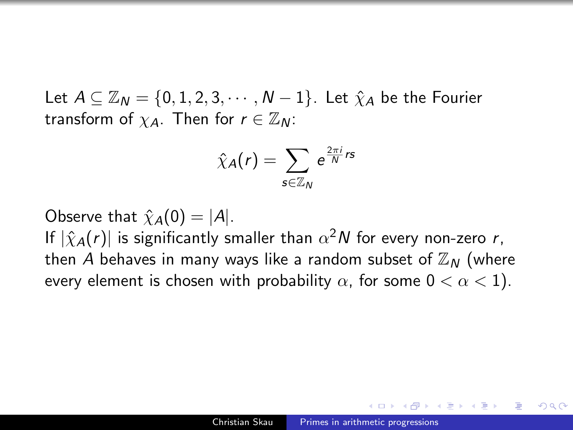Let  $A \subseteq \mathbb{Z}_N = \{0, 1, 2, 3, \cdots, N-1\}$ . Let  $\hat{\chi}_A$  be the Fourier transform of  $\chi_A$ . Then for  $r \in \mathbb{Z}_N$ :

$$
\hat{\chi}_A(r)=\sum_{\mathsf{s}\in\mathbb{Z}_N}\mathsf{e}^{\frac{2\pi i}{N}\mathsf{rs}}
$$

Observe that  $\hat{\chi}_A(0) = |A|$ .

If  $|\hat{\chi}_A(r)|$  is significantly smaller than  $\alpha^2 N$  for every non-zero  $r,$ then A behaves in many ways like a random subset of  $\mathbb{Z}_N$  (where every element is chosen with probability  $\alpha$ , for some  $0 < \alpha < 1$ ).

 $\Omega$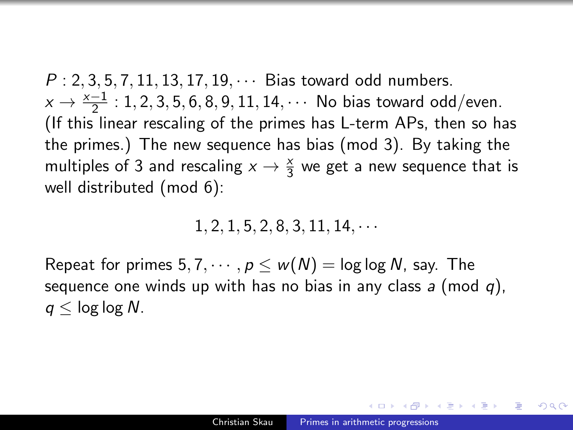$P: 2, 3, 5, 7, 11, 13, 17, 19, \cdots$  Bias toward odd numbers.  $x \to \frac{x-1}{2}$  : 1, 2, 3, 5, 6, 8, 9, 11, 14,  $\cdots$  No bias toward odd/even. (If this linear rescaling of the primes has L-term APs, then so has the primes.) The new sequence has bias (mod 3). By taking the multiples of 3 and rescaling  $x \to \frac{x}{3}$  we get a new sequence that is well distributed (mod 6):

 $1, 2, 1, 5, 2, 8, 3, 11, 14, \cdots$ 

Repeat for primes  $5, 7, \dots, p \leq w(N) = \log \log N$ , say. The sequence one winds up with has no bias in any class  $a$  (mod  $q$ ),  $q <$  log log N.

AP ▶ ( ヨ ) ((ヨ ) (

 $200$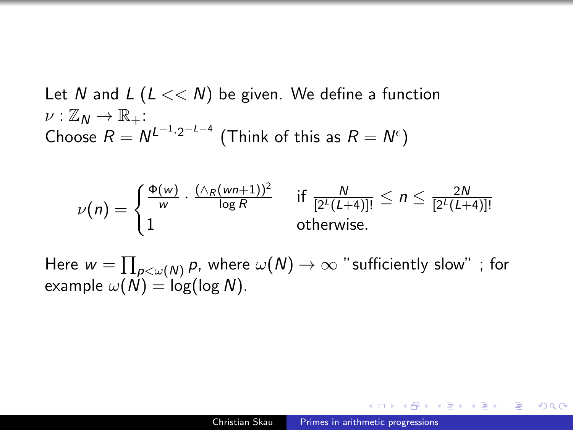Let N and  $L$  ( $L \ll N$ ) be given. We define a function  $\nu : \mathbb{Z}_N \to \mathbb{R}_+$ : Choose  $R = N^{L^{-1} \cdot 2^{-L-4}}$  (Think of this as  $R = N^{\epsilon}$ )

$$
\nu(n) = \begin{cases} \frac{\Phi(w)}{w} \cdot \frac{(\wedge_R(wn+1))^2}{\log R} & \text{if } \frac{N}{[2^L(L+4)]!} \leq n \leq \frac{2N}{[2^L(L+4)]!} \\ 1 & \text{otherwise.} \end{cases}
$$

Here  $w=\prod_{\rho<\omega(N)}\rho$ , where  $\omega(N)\to\infty$  "sufficiently slow" ; for example  $\omega(N) = \log(\log N)$ .

 $200$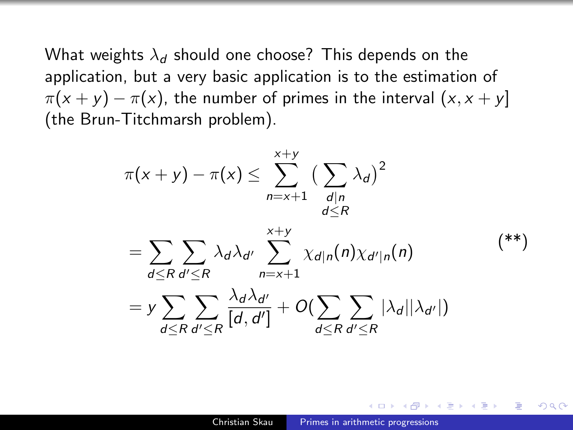What weights  $\lambda_d$  should one choose? This depends on the application, but a very basic application is to the estimation of  $\pi(x + y) - \pi(x)$ , the number of primes in the interval  $(x, x + y)$ (the Brun-Titchmarsh problem).

<span id="page-42-0"></span>
$$
\pi(x + y) - \pi(x) \le \sum_{n=x+1}^{x+y} \left(\sum_{\substack{d|n\\d\le R}} \lambda_d\right)^2
$$
\n
$$
= \sum_{d\le R} \sum_{d'\le R} \lambda_d \lambda_{d'} \sum_{n=x+1}^{x+y} \chi_{d|n}(n) \chi_{d'|n}(n) \qquad (*)
$$
\n
$$
= y \sum_{d\le R} \sum_{d'\le R} \frac{\lambda_d \lambda_{d'}}{[d, d']} + O\left(\sum_{d\le R} \sum_{d'\le R} |\lambda_d||\lambda_{d'}|\right)
$$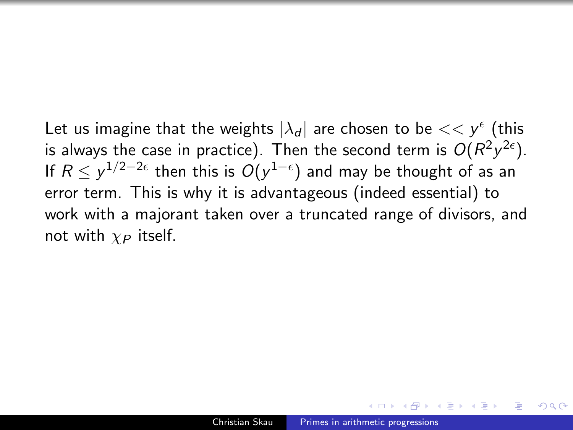Let us imagine that the weights  $|\lambda_d|$  are chosen to be  $<< y^{\epsilon}$  (this is always the case in practice). Then the second term is  $O(R^2y^{2\epsilon}).$ If  $R\le y^{1/2-2\epsilon}$  then this is  $O(y^{1-\epsilon})$  and may be thought of as an error term. This is why it is advantageous (indeed essential) to work with a majorant taken over a truncated range of divisors, and not with  $\chi_P$  itself.